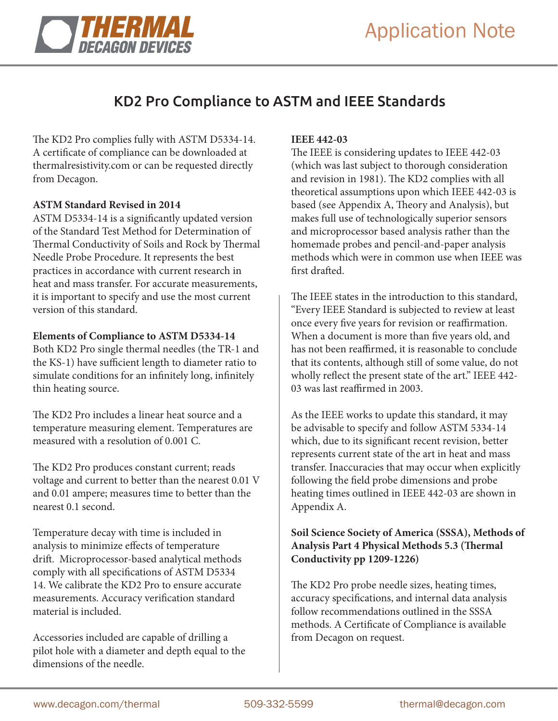

## KD2 Pro Compliance to ASTM and IEEE Standards

The KD2 Pro complies fully with ASTM D5334-14. A certificate of compliance can be downloaded at thermalresistivity.com or can be requested directly from Decagon.

#### **ASTM Standard Revised in 2014**

ASTM D5334-14 is a significantly updated version of the Standard Test Method for Determination of Thermal Conductivity of Soils and Rock by Thermal Needle Probe Procedure. It represents the best practices in accordance with current research in heat and mass transfer. For accurate measurements, it is important to specify and use the most current version of this standard.

#### **Elements of Compliance to ASTM D5334-14**

Both KD2 Pro single thermal needles (the TR-1 and the KS-1) have sufficient length to diameter ratio to simulate conditions for an infinitely long, infinitely thin heating source.

The KD2 Pro includes a linear heat source and a temperature measuring element. Temperatures are measured with a resolution of 0.001 C.

The KD2 Pro produces constant current; reads voltage and current to better than the nearest 0.01 V and 0.01 ampere; measures time to better than the nearest 0.1 second.

Temperature decay with time is included in analysis to minimize effects of temperature drift. Microprocessor-based analytical methods comply with all specifications of ASTM D5334 14. We calibrate the KD2 Pro to ensure accurate measurements. Accuracy verification standard material is included.

Accessories included are capable of drilling a pilot hole with a diameter and depth equal to the dimensions of the needle.

#### **IEEE 442-03**

The IEEE is considering updates to IEEE 442-03 (which was last subject to thorough consideration and revision in 1981). The KD2 complies with all theoretical assumptions upon which IEEE 442-03 is based (see Appendix A, Theory and Analysis), but makes full use of technologically superior sensors and microprocessor based analysis rather than the homemade probes and pencil-and-paper analysis methods which were in common use when IEEE was first drafted.

The IEEE states in the introduction to this standard, "Every IEEE Standard is subjected to review at least once every five years for revision or reaffirmation. When a document is more than five years old, and has not been reaffirmed, it is reasonable to conclude that its contents, although still of some value, do not wholly reflect the present state of the art." IEEE 442- 03 was last reaffirmed in 2003.

As the IEEE works to update this standard, it may be advisable to specify and follow ASTM 5334-14 which, due to its significant recent revision, better represents current state of the art in heat and mass transfer. Inaccuracies that may occur when explicitly following the field probe dimensions and probe heating times outlined in IEEE 442-03 are shown in Appendix A.

### **Soil Science Society of America (SSSA), Methods of Analysis Part 4 Physical Methods 5.3 (Thermal Conductivity pp 1209-1226)**

The KD2 Pro probe needle sizes, heating times, accuracy specifications, and internal data analysis follow recommendations outlined in the SSSA methods. A Certificate of Compliance is available from Decagon on request.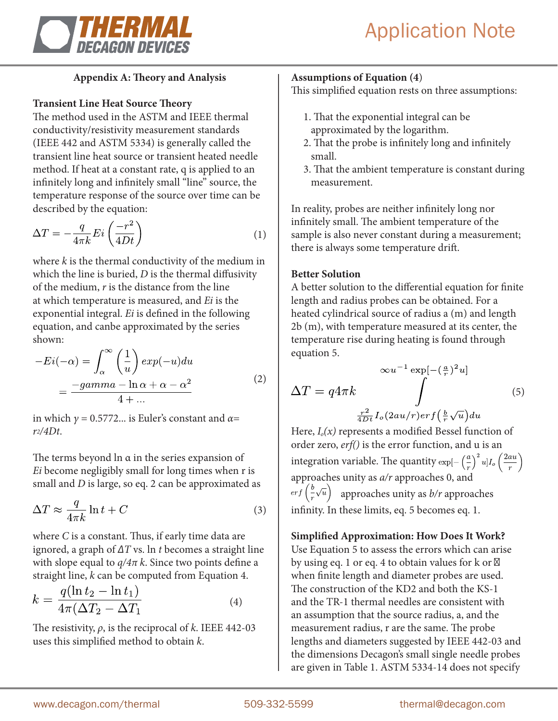

## **Appendix A: Theory and Analysis**

## **Transient Line Heat Source Theory**

The method used in the ASTM and IEEE thermal conductivity/resistivity measurement standards (IEEE 442 and ASTM 5334) is generally called the transient line heat source or transient heated needle method. If heat at a constant rate, q is applied to an infinitely long and infinitely small "line" source, the temperature response of the source over time can be described by the equation:

$$
\Delta T = -\frac{q}{4\pi k} E i \left(\frac{-r^2}{4Dt}\right) \tag{1}
$$

where *k* is the thermal conductivity of the medium in which the line is buried, *D* is the thermal diffusivity of the medium, *r* is the distance from the line at which temperature is measured, and *Ei* is the exponential integral. *Ei* is defined in the following equation, and canbe approximated by the series shown:

$$
-Ei(-\alpha) = \int_{\alpha}^{\infty} \left(\frac{1}{u}\right) exp(-u) du
$$

$$
= \frac{-gamma - \ln \alpha + \alpha - \alpha^2}{4 + \dots}
$$
(2)

in which  $\gamma = 0.5772...$  is Euler's constant and  $\alpha =$ *r2/4Dt*.

The terms beyond  $\ln \alpha$  in the series expansion of *Ei* become negligibly small for long times when r is small and *D* is large, so eq. 2 can be approximated as

$$
\Delta T \approx \frac{q}{4\pi k} \ln t + C \tag{3}
$$

where *C* is a constant. Thus, if early time data are ignored, a graph of *ΔT* vs. ln *t* becomes a straight line with slope equal to *q/4π k*. Since two points define a straight line, *k* can be computed from Equation 4.

$$
k = \frac{q(\ln t_2 - \ln t_1)}{4\pi(\Delta T_2 - \Delta T_1)}
$$
(4)

The resistivity, *ρ*, is the reciprocal of *k*. IEEE 442-03 uses this simplified method to obtain *k*.

## **Assumptions of Equation (4**)

This simplified equation rests on three assumptions:

- 1. That the exponential integral can be approximated by the logarithm.
- 2. That the probe is infinitely long and infinitely small.
- 3. That the ambient temperature is constant during measurement.

In reality, probes are neither infinitely long nor infinitely small. The ambient temperature of the sample is also never constant during a measurement; there is always some temperature drift.

### **Better Solution**

A better solution to the differential equation for finite length and radius probes can be obtained. For a heated cylindrical source of radius a (m) and length 2b (m), with temperature measured at its center, the temperature rise during heating is found through equation 5.

$$
\Delta T = q 4\pi k \int \int \frac{\exp[-(\frac{a}{r})^2 u]}{\frac{r^2}{4Dt} I_o(2au/r) erf(\frac{b}{r}\sqrt{u}) du}
$$
(5)

Here, *Io(x)* represents a modified Bessel function of order zero, *erf()* is the error function, and u is an integration variable. The quantity approaches unity as *a/r* approaches 0, and  $\frac{erf(\frac{b}{r}\sqrt{u})}{e^{u}}$  approaches unity as *b*/*r* approaches infinity. In these limits, eq. 5 becomes eq. 1.

## **Simplified Approximation: How Does It Work?**

Use Equation 5 to assess the errors which can arise by using eq. 1 or eq. 4 to obtain values for k or when finite length and diameter probes are used. The construction of the KD2 and both the KS-1 and the TR-1 thermal needles are consistent with an assumption that the source radius, a, and the measurement radius, r are the same. The probe lengths and diameters suggested by IEEE 442-03 and the dimensions Decagon's small single needle probes are given in Table 1. ASTM 5334-14 does not specify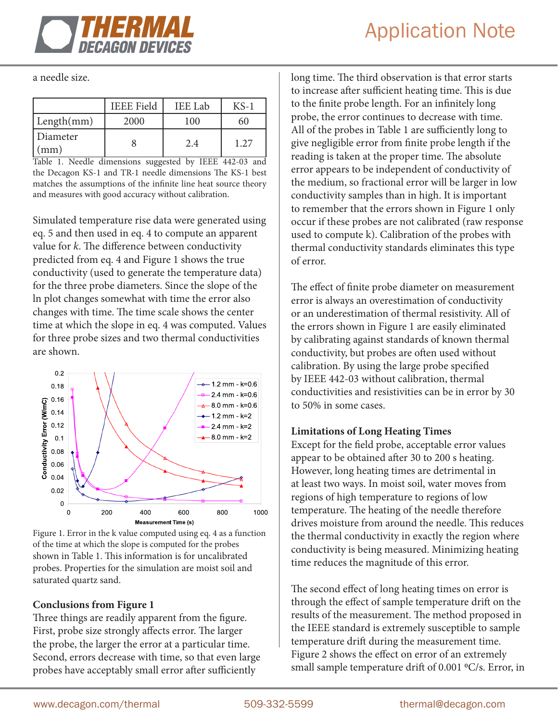

a needle size.

|                 | <b>IEEE Field</b> | <b>IEE</b> Lab | $KS-1$ |
|-----------------|-------------------|----------------|--------|
| Length(mm)      | 2000              | 100            |        |
| Diameter<br>mm) |                   | 2.4            | 1.27   |

Table 1. Needle dimensions suggested by IEEE 442-03 and the Decagon KS-1 and TR-1 needle dimensions The KS-1 best matches the assumptions of the infinite line heat source theory and measures with good accuracy without calibration.

Simulated temperature rise data were generated using eq. 5 and then used in eq. 4 to compute an apparent value for *k*. The difference between conductivity predicted from eq. 4 and Figure 1 shows the true conductivity (used to generate the temperature data) for the three probe diameters. Since the slope of the ln plot changes somewhat with time the error also changes with time. The time scale shows the center time at which the slope in eq. 4 was computed. Values for three probe sizes and two thermal conductivities are shown.



Figure 1. Error in the k value computed using eq. 4 as a function of the time at which the slope is computed for the probes shown in Table 1. This information is for uncalibrated probes. Properties for the simulation are moist soil and saturated quartz sand.

## **Conclusions from Figure 1**

Three things are readily apparent from the figure. First, probe size strongly affects error. The larger the probe, the larger the error at a particular time. Second, errors decrease with time, so that even large probes have acceptably small error after sufficiently

long time. The third observation is that error starts to increase after sufficient heating time. This is due to the finite probe length. For an infinitely long probe, the error continues to decrease with time. All of the probes in Table 1 are sufficiently long to give negligible error from finite probe length if the reading is taken at the proper time. The absolute error appears to be independent of conductivity of the medium, so fractional error will be larger in low conductivity samples than in high. It is important to remember that the errors shown in Figure 1 only occur if these probes are not calibrated (raw response used to compute k). Calibration of the probes with thermal conductivity standards eliminates this type of error.

The effect of finite probe diameter on measurement error is always an overestimation of conductivity or an underestimation of thermal resistivity. All of the errors shown in Figure 1 are easily eliminated by calibrating against standards of known thermal conductivity, but probes are often used without calibration. By using the large probe specified by IEEE 442-03 without calibration, thermal conductivities and resistivities can be in error by 30 to 50% in some cases.

#### **Limitations of Long Heating Times**

Except for the field probe, acceptable error values appear to be obtained after 30 to 200 s heating. However, long heating times are detrimental in at least two ways. In moist soil, water moves from regions of high temperature to regions of low temperature. The heating of the needle therefore drives moisture from around the needle. This reduces the thermal conductivity in exactly the region where conductivity is being measured. Minimizing heating time reduces the magnitude of this error.

The second effect of long heating times on error is through the effect of sample temperature drift on the results of the measurement. The method proposed in the IEEE standard is extremely susceptible to sample temperature drift during the measurement time. Figure 2 shows the effect on error of an extremely small sample temperature drift of 0.001 °C/s. Error, in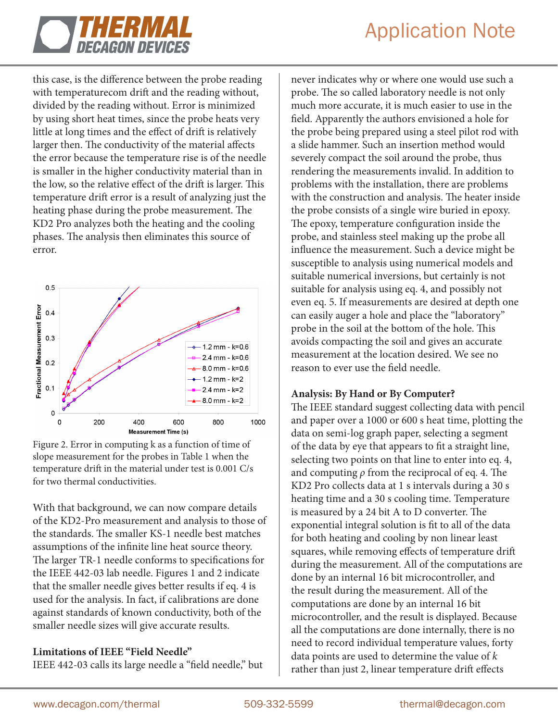

## Application Note

this case, is the difference between the probe reading with temperaturecom drift and the reading without, divided by the reading without. Error is minimized by using short heat times, since the probe heats very little at long times and the effect of drift is relatively larger then. The conductivity of the material affects the error because the temperature rise is of the needle is smaller in the higher conductivity material than in the low, so the relative effect of the drift is larger. This temperature drift error is a result of analyzing just the heating phase during the probe measurement. The KD2 Pro analyzes both the heating and the cooling phases. The analysis then eliminates this source of error.



Figure 2. Error in computing k as a function of time of slope measurement for the probes in Table 1 when the temperature drift in the material under test is 0.001 C/s for two thermal conductivities.

With that background, we can now compare details of the KD2-Pro measurement and analysis to those of the standards. The smaller KS-1 needle best matches assumptions of the infinite line heat source theory. The larger TR-1 needle conforms to specifications for the IEEE 442-03 lab needle. Figures 1 and 2 indicate that the smaller needle gives better results if eq. 4 is used for the analysis. In fact, if calibrations are done against standards of known conductivity, both of the smaller needle sizes will give accurate results.

#### **Limitations of IEEE "Field Needle"**

IEEE 442-03 calls its large needle a "field needle," but

never indicates why or where one would use such a probe. The so called laboratory needle is not only much more accurate, it is much easier to use in the field. Apparently the authors envisioned a hole for the probe being prepared using a steel pilot rod with a slide hammer. Such an insertion method would severely compact the soil around the probe, thus rendering the measurements invalid. In addition to problems with the installation, there are problems with the construction and analysis. The heater inside the probe consists of a single wire buried in epoxy. The epoxy, temperature configuration inside the probe, and stainless steel making up the probe all influence the measurement. Such a device might be susceptible to analysis using numerical models and suitable numerical inversions, but certainly is not suitable for analysis using eq. 4, and possibly not even eq. 5. If measurements are desired at depth one can easily auger a hole and place the "laboratory" probe in the soil at the bottom of the hole. This avoids compacting the soil and gives an accurate measurement at the location desired. We see no reason to ever use the field needle.

#### **Analysis: By Hand or By Computer?**

The IEEE standard suggest collecting data with pencil and paper over a 1000 or 600 s heat time, plotting the data on semi-log graph paper, selecting a segment of the data by eye that appears to fit a straight line, selecting two points on that line to enter into eq. 4, and computing *ρ* from the reciprocal of eq. 4. The KD2 Pro collects data at 1 s intervals during a 30 s heating time and a 30 s cooling time. Temperature is measured by a 24 bit A to D converter. The exponential integral solution is fit to all of the data for both heating and cooling by non linear least squares, while removing effects of temperature drift during the measurement. All of the computations are done by an internal 16 bit microcontroller, and the result during the measurement. All of the computations are done by an internal 16 bit microcontroller, and the result is displayed. Because all the computations are done internally, there is no need to record individual temperature values, forty data points are used to determine the value of *k* rather than just 2, linear temperature drift effects